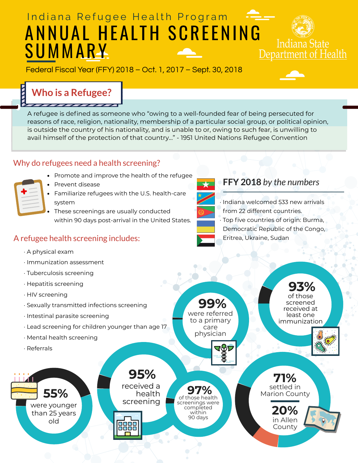

were referred to a primary care physician **99%**

 $\mathbf \Phi$ 

of those screened received at least one immunization **93%**



**71%** settled in Marion County **20%** in Allen County

## Indiana Refugee Health Program ANNUAL HEALTH SCREENING SUMMARY. Department of Health

Federal Fiscal Year (FFY) 2018 – Oct. 1, 2017 – Sept. 30, 2018



Indiana State

- · A physical exam
- · Immunization assessment
- · Tuberculosis screening
- · Hepatitis screening
- · HIV screening
- · Sexually transmitted infections screening
- · Intestinal parasite screening
- · Lead screening for children younger than age 17
- · Mental health screening
- · Referrals





- Prevent disease
- Familiarize refugees with the U.S. health-care system
- These screenings are usually conducted within 90 days post-arrival in the United States.

# **Who is a Refugee?**

#### Why do refugees need a health screening?

• Promote and improve the health of the refugee



### A refugee health screening includes:

#### **FFY 2018** *by the numbers*



A refugee is defined as someone who "owing to a well-founded fear of being persecuted for reasons of race, religion, nationality, membership of a particular social group, or political opinion, is outside the country of his nationality, and is unable to or, owing to such fear, is unwilling to avail himself of the protection of that country…" - 1951 United Nations Refugee Convention

> · Indiana welcomed 533 new arrivals from 22 different countries. · Top five countries of origin: Burma, Democratic Republic of the Congo, Eritrea, Ukraine, Sudan